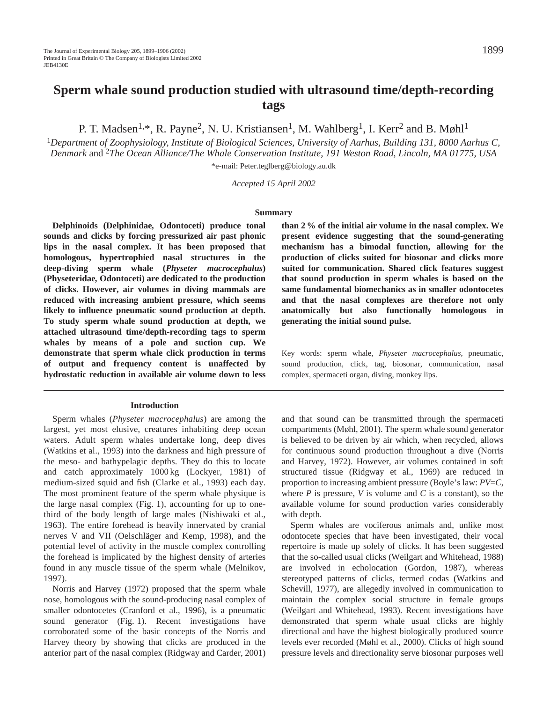P. T. Madsen<sup>1,\*</sup>, R. Payne<sup>2</sup>, N. U. Kristiansen<sup>1</sup>, M. Wahlberg<sup>1</sup>, I. Kerr<sup>2</sup> and B. Møhl<sup>1</sup>

<sup>1</sup>*Department of Zoophysiology, Institute of Biological Sciences, University of Aarhus, Building 131, 8000 Aarhus C, Denmark* and 2*The Ocean Alliance/The Whale Conservation Institute, 191 Weston Road, Lincoln, MA 01775, USA*

\*e-mail: Peter.teglberg@biology.au.dk

*Accepted 15 April 2002*

#### **Summary**

**Delphinoids (Delphinidae***,* **Odontoceti) produce tonal sounds and clicks by forcing pressurized air past phonic lips in the nasal complex. It has been proposed that homologous, hypertrophied nasal structures in the deep-diving sperm whale (***Physeter macrocephalus***) (Physeteridae***,* **Odontoceti) are dedicated to the production of clicks. However, air volumes in diving mammals are reduced with increasing ambient pressure, which seems likely to influence pneumatic sound production at depth. To study sperm whale sound production at depth, we attached ultrasound time/depth-recording tags to sperm whales by means of a pole and suction cup. We demonstrate that sperm whale click production in terms of output and frequency content is unaffected by hydrostatic reduction in available air volume down to less**

#### **Introduction**

Sperm whales (*Physeter macrocephalus*) are among the largest, yet most elusive, creatures inhabiting deep ocean waters. Adult sperm whales undertake long, deep dives (Watkins et al., 1993) into the darkness and high pressure of the meso- and bathypelagic depths. They do this to locate and catch approximately 1000 kg (Lockyer, 1981) of medium-sized squid and fish (Clarke et al., 1993) each day. The most prominent feature of the sperm whale physique is the large nasal complex (Fig. 1), accounting for up to onethird of the body length of large males (Nishiwaki et al., 1963). The entire forehead is heavily innervated by cranial nerves V and VII (Oelschläger and Kemp, 1998), and the potential level of activity in the muscle complex controlling the forehead is implicated by the highest density of arteries found in any muscle tissue of the sperm whale (Melnikov, 1997).

Norris and Harvey (1972) proposed that the sperm whale nose, homologous with the sound-producing nasal complex of smaller odontocetes (Cranford et al., 1996), is a pneumatic sound generator (Fig. 1). Recent investigations have corroborated some of the basic concepts of the Norris and Harvey theory by showing that clicks are produced in the anterior part of the nasal complex (Ridgway and Carder, 2001) **than 2 % of the initial air volume in the nasal complex. We present evidence suggesting that the sound-generating mechanism has a bimodal function, allowing for the production of clicks suited for biosonar and clicks more suited for communication. Shared click features suggest that sound production in sperm whales is based on the same fundamental biomechanics as in smaller odontocetes and that the nasal complexes are therefore not only anatomically but also functionally homologous in generating the initial sound pulse.**

Key words: sperm whale, *Physeter macrocephalus*, pneumatic, sound production, click, tag, biosonar, communication, nasal complex, spermaceti organ, diving, monkey lips.

and that sound can be transmitted through the spermaceti compartments (Møhl, 2001). The sperm whale sound generator is believed to be driven by air which, when recycled, allows for continuous sound production throughout a dive (Norris and Harvey, 1972). However, air volumes contained in soft structured tissue (Ridgway et al., 1969) are reduced in proportion to increasing ambient pressure (Boyle's law: *PV*=*C*, where *P* is pressure, *V* is volume and *C* is a constant), so the available volume for sound production varies considerably with depth.

Sperm whales are vociferous animals and, unlike most odontocete species that have been investigated, their vocal repertoire is made up solely of clicks. It has been suggested that the so-called usual clicks (Weilgart and Whitehead, 1988) are involved in echolocation (Gordon, 1987), whereas stereotyped patterns of clicks, termed codas (Watkins and Schevill, 1977), are allegedly involved in communication to maintain the complex social structure in female groups (Weilgart and Whitehead, 1993). Recent investigations have demonstrated that sperm whale usual clicks are highly directional and have the highest biologically produced source levels ever recorded (Møhl et al., 2000). Clicks of high sound pressure levels and directionality serve biosonar purposes well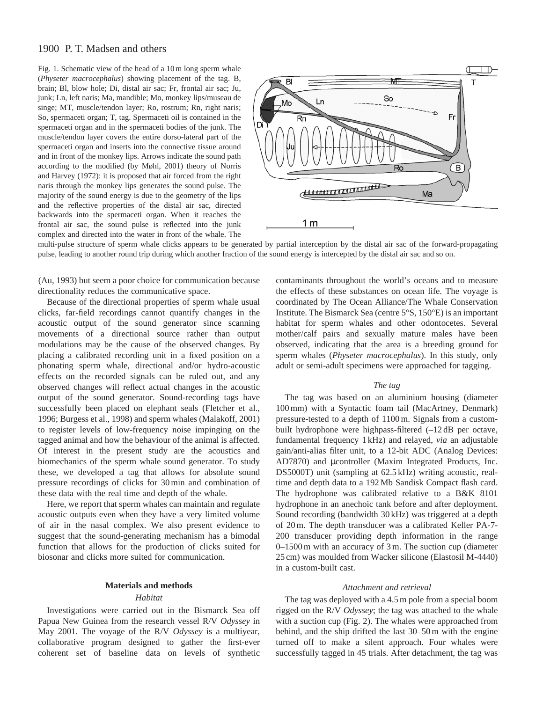# 1900 P. T. Madsen and others

Fig. 1. Schematic view of the head of a 10 m long sperm whale (*Physeter macrocephalus*) showing placement of the tag. B, brain; Bl, blow hole; Di, distal air sac; Fr, frontal air sac; Ju, junk; Ln, left naris; Ma, mandible; Mo, monkey lips/museau de singe; MT, muscle/tendon layer; Ro, rostrum; Rn, right naris; So, spermaceti organ; T, tag. Spermaceti oil is contained in the spermaceti organ and in the spermaceti bodies of the junk. The muscle/tendon layer covers the entire dorso-lateral part of the spermaceti organ and inserts into the connective tissue around and in front of the monkey lips. Arrows indicate the sound path according to the modified (by Møhl, 2001) theory of Norris and Harvey (1972): it is proposed that air forced from the right naris through the monkey lips generates the sound pulse. The majority of the sound energy is due to the geometry of the lips and the reflective properties of the distal air sac, directed backwards into the spermaceti organ. When it reaches the frontal air sac, the sound pulse is reflected into the junk complex and directed into the water in front of the whale. The



multi-pulse structure of sperm whale clicks appears to be generated by partial interception by the distal air sac of the forward-propagating pulse, leading to another round trip during which another fraction of the sound energy is intercepted by the distal air sac and so on.

(Au, 1993) but seem a poor choice for communication because directionality reduces the communicative space.

Because of the directional properties of sperm whale usual clicks, far-field recordings cannot quantify changes in the acoustic output of the sound generator since scanning movements of a directional source rather than output modulations may be the cause of the observed changes. By placing a calibrated recording unit in a fixed position on a phonating sperm whale, directional and/or hydro-acoustic effects on the recorded signals can be ruled out, and any observed changes will reflect actual changes in the acoustic output of the sound generator. Sound-recording tags have successfully been placed on elephant seals (Fletcher et al., 1996; Burgess et al., 1998) and sperm whales (Malakoff, 2001) to register levels of low-frequency noise impinging on the tagged animal and how the behaviour of the animal is affected. Of interest in the present study are the acoustics and biomechanics of the sperm whale sound generator. To study these, we developed a tag that allows for absolute sound pressure recordings of clicks for 30 min and combination of these data with the real time and depth of the whale.

Here, we report that sperm whales can maintain and regulate acoustic outputs even when they have a very limited volume of air in the nasal complex. We also present evidence to suggest that the sound-generating mechanism has a bimodal function that allows for the production of clicks suited for biosonar and clicks more suited for communication.

## **Materials and methods**

#### *Habitat*

Investigations were carried out in the Bismarck Sea off Papua New Guinea from the research vessel R/V *Odyssey* in May 2001. The voyage of the R/V *Odyssey* is a multiyear, collaborative program designed to gather the first-ever coherent set of baseline data on levels of synthetic contaminants throughout the world's oceans and to measure the effects of these substances on ocean life. The voyage is coordinated by The Ocean Alliance/The Whale Conservation Institute. The Bismarck Sea (centre 5°S, 150°E) is an important habitat for sperm whales and other odontocetes. Several mother/calf pairs and sexually mature males have been observed, indicating that the area is a breeding ground for sperm whales (*Physeter macrocephalus*). In this study, only adult or semi-adult specimens were approached for tagging.

#### *The tag*

The tag was based on an aluminium housing (diameter 100 mm) with a Syntactic foam tail (MacArtney, Denmark) pressure-tested to a depth of 1100 m. Signals from a custombuilt hydrophone were highpass-filtered (–12 dB per octave, fundamental frequency 1 kHz) and relayed, *via* an adjustable gain/anti-alias filter unit, to a 12-bit ADC (Analog Devices: AD7870) and µcontroller (Maxim Integrated Products, Inc. DS5000T) unit (sampling at 62.5 kHz) writing acoustic, realtime and depth data to a 192 Mb Sandisk Compact flash card. The hydrophone was calibrated relative to a B&K 8101 hydrophone in an anechoic tank before and after deployment. Sound recording (bandwidth 30 kHz) was triggered at a depth of 20 m. The depth transducer was a calibrated Keller PA-7- 200 transducer providing depth information in the range 0–1500 m with an accuracy of 3 m. The suction cup (diameter 25 cm) was moulded from Wacker silicone (Elastosil M-4440) in a custom-built cast.

### *Attachment and retrieval*

The tag was deployed with a 4.5 m pole from a special boom rigged on the R/V *Odyssey*; the tag was attached to the whale with a suction cup (Fig. 2). The whales were approached from behind, and the ship drifted the last 30–50 m with the engine turned off to make a silent approach. Four whales were successfully tagged in 45 trials. After detachment, the tag was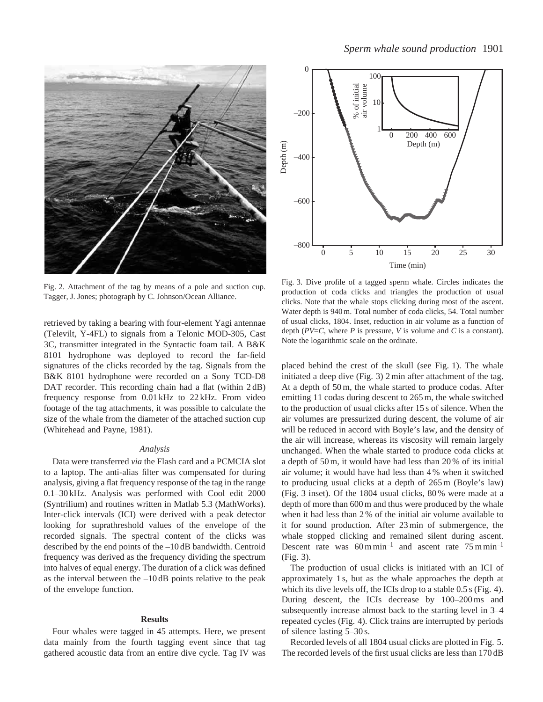

Fig. 2. Attachment of the tag by means of a pole and suction cup. Tagger, J. Jones; photograph by C. Johnson/Ocean Alliance.

retrieved by taking a bearing with four-element Yagi antennae (Televilt, Y-4FL) to signals from a Telonic MOD-305, Cast 3C, transmitter integrated in the Syntactic foam tail. A B&K 8101 hydrophone was deployed to record the far-field signatures of the clicks recorded by the tag. Signals from the B&K 8101 hydrophone were recorded on a Sony TCD-D8 DAT recorder. This recording chain had a flat (within 2 dB) frequency response from 0.01 kHz to 22 kHz. From video footage of the tag attachments, it was possible to calculate the size of the whale from the diameter of the attached suction cup (Whitehead and Payne, 1981).

### *Analysis*

Data were transferred *via* the Flash card and a PCMCIA slot to a laptop. The anti-alias filter was compensated for during analysis, giving a flat frequency response of the tag in the range 0.1–30 kHz. Analysis was performed with Cool edit 2000 (Syntrilium) and routines written in Matlab 5.3 (MathWorks). Inter-click intervals (ICI) were derived with a peak detector looking for suprathreshold values of the envelope of the recorded signals. The spectral content of the clicks was described by the end points of the –10 dB bandwidth. Centroid frequency was derived as the frequency dividing the spectrum into halves of equal energy. The duration of a click was defined as the interval between the  $-10 \, \text{dB}$  points relative to the peak of the envelope function.

## **Results**

Four whales were tagged in 45 attempts. Here, we present data mainly from the fourth tagging event since that tag gathered acoustic data from an entire dive cycle. Tag IV was



Fig. 3. Dive profile of a tagged sperm whale. Circles indicates the production of coda clicks and triangles the production of usual clicks. Note that the whale stops clicking during most of the ascent. Water depth is 940 m. Total number of coda clicks, 54. Total number of usual clicks, 1804. Inset, reduction in air volume as a function of depth (*PV*=*C*, where *P* is pressure, *V* is volume and *C* is a constant). Note the logarithmic scale on the ordinate.

placed behind the crest of the skull (see Fig. 1). The whale initiated a deep dive (Fig. 3) 2 min after attachment of the tag. At a depth of 50 m, the whale started to produce codas. After emitting 11 codas during descent to 265 m, the whale switched to the production of usual clicks after 15 s of silence. When the air volumes are pressurized during descent, the volume of air will be reduced in accord with Boyle's law, and the density of the air will increase, whereas its viscosity will remain largely unchanged. When the whale started to produce coda clicks at a depth of 50 m, it would have had less than 20 % of its initial air volume; it would have had less than 4 % when it switched to producing usual clicks at a depth of 265 m (Boyle's law) (Fig. 3 inset). Of the 1804 usual clicks, 80 % were made at a depth of more than 600 m and thus were produced by the whale when it had less than 2 % of the initial air volume available to it for sound production. After 23 min of submergence, the whale stopped clicking and remained silent during ascent. Descent rate was  $60 \text{ m min}^{-1}$  and ascent rate  $75 \text{ m min}^{-1}$ (Fig. 3).

The production of usual clicks is initiated with an ICI of approximately 1 s, but as the whale approaches the depth at which its dive levels off, the ICIs drop to a stable 0.5 s (Fig. 4). During descent, the ICIs decrease by 100–200 ms and subsequently increase almost back to the starting level in 3–4 repeated cycles (Fig. 4). Click trains are interrupted by periods of silence lasting 5–30 s.

Recorded levels of all 1804 usual clicks are plotted in Fig. 5. The recorded levels of the first usual clicks are less than 170 dB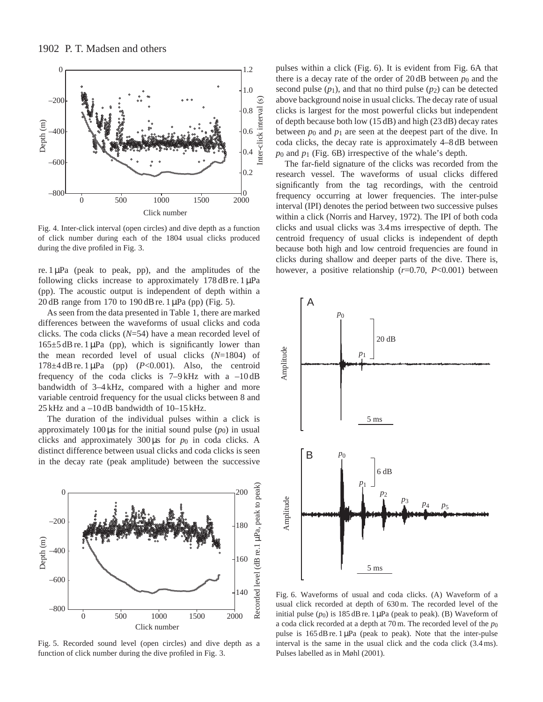

Fig. 4. Inter-click interval (open circles) and dive depth as a function of click number during each of the 1804 usual clicks produced during the dive profiled in Fig. 3.

re.  $1 \mu Pa$  (peak to peak, pp), and the amplitudes of the following clicks increase to approximately  $178 \text{ dB}$  re.  $1 \mu \text{Pa}$ (pp). The acoustic output is independent of depth within a 20 dB range from 170 to 190 dB re. 1 µPa (pp) (Fig. 5).

As seen from the data presented in Table 1, there are marked differences between the waveforms of usual clicks and coda clicks. The coda clicks (*N*=54) have a mean recorded level of  $165\pm5$  dB re. 1 µPa (pp), which is significantly lower than the mean recorded level of usual clicks (*N*=1804) of 178 $\pm$ 4 dB re. 1  $\mu$ Pa (pp) (*P*<0.001). Also, the centroid frequency of the coda clicks is  $7-9$  kHz with a  $-10$  dB bandwidth of 3–4 kHz, compared with a higher and more variable centroid frequency for the usual clicks between 8 and 25 kHz and a –10 dB bandwidth of 10–15 kHz.

The duration of the individual pulses within a click is approximately 100  $\mu$ s for the initial sound pulse ( $p_0$ ) in usual clicks and approximately  $300 \mu s$  for  $p_0$  in coda clicks. A distinct difference between usual clicks and coda clicks is seen in the decay rate (peak amplitude) between the successive



Fig. 5. Recorded sound level (open circles) and dive depth as a function of click number during the dive profiled in Fig. 3.

pulses within a click (Fig. 6). It is evident from Fig. 6A that there is a decay rate of the order of  $20 \text{ dB}$  between  $p_0$  and the second pulse  $(p_1)$ , and that no third pulse  $(p_2)$  can be detected above background noise in usual clicks. The decay rate of usual clicks is largest for the most powerful clicks but independent of depth because both low (15 dB) and high (23 dB) decay rates between  $p_0$  and  $p_1$  are seen at the deepest part of the dive. In coda clicks, the decay rate is approximately 4–8 dB between *p*0 and *p*1 (Fig. 6B) irrespective of the whale's depth.

The far-field signature of the clicks was recorded from the research vessel. The waveforms of usual clicks differed significantly from the tag recordings, with the centroid frequency occurring at lower frequencies. The inter-pulse interval (IPI) denotes the period between two successive pulses within a click (Norris and Harvey, 1972). The IPI of both coda clicks and usual clicks was 3.4 ms irrespective of depth. The centroid frequency of usual clicks is independent of depth because both high and low centroid frequencies are found in clicks during shallow and deeper parts of the dive. There is, however, a positive relationship (*r*=0.70, *P*<0.001) between



Fig. 6. Waveforms of usual and coda clicks. (A) Waveform of a usual click recorded at depth of 630 m. The recorded level of the initial pulse  $(p_0)$  is 185 dB re. 1  $\mu$ Pa (peak to peak). (B) Waveform of a coda click recorded at a depth at 70 m. The recorded level of the *p*0 pulse is 165 dB re. 1 µPa (peak to peak). Note that the inter-pulse interval is the same in the usual click and the coda click (3.4 ms). Pulses labelled as in Møhl (2001).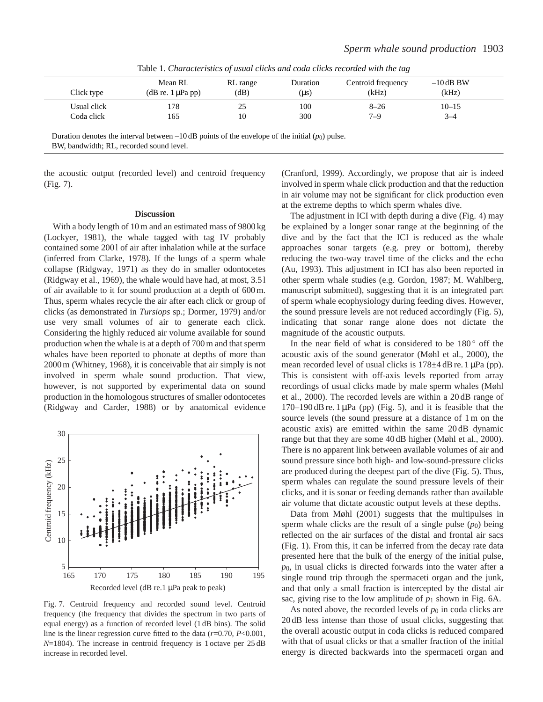| Click type  | Mean RL<br>$(dB \r{re.} 1 \mu Pa \r{p})$ | RL range<br>(dB) | Duration<br>$(\mu s)$ | Centroid frequency<br>(kHz) | $-10$ dB BW<br>(kHz) |  |
|-------------|------------------------------------------|------------------|-----------------------|-----------------------------|----------------------|--|
| Usual click | 178                                      | 25               | 100                   | $8 - 26$                    | $10 - 15$            |  |
| Coda click  | 165                                      | 10               | 300                   | $7 - 9$                     | $3 - 4$              |  |
|             |                                          |                  |                       |                             |                      |  |

Table 1. *Characteristics of usual clicks and coda clicks recorded with the tag*

Duration denotes the interval between  $-10 \text{ dB}$  points of the envelope of the initial  $(p_0)$  pulse. BW, bandwidth; RL, recorded sound level.

the acoustic output (recorded level) and centroid frequency (Fig. 7).

### **Discussion**

With a body length of 10 m and an estimated mass of 9800 kg (Lockyer, 1981), the whale tagged with tag IV probably contained some 200 l of air after inhalation while at the surface (inferred from Clarke, 1978). If the lungs of a sperm whale collapse (Ridgway, 1971) as they do in smaller odontocetes (Ridgway et al., 1969), the whale would have had, at most, 3.5 l of air available to it for sound production at a depth of 600 m. Thus, sperm whales recycle the air after each click or group of clicks (as demonstrated in *Tursiops* sp.; Dormer, 1979) and/or use very small volumes of air to generate each click. Considering the highly reduced air volume available for sound production when the whale is at a depth of 700 m and that sperm whales have been reported to phonate at depths of more than 2000 m (Whitney, 1968), it is conceivable that air simply is not involved in sperm whale sound production. That view, however, is not supported by experimental data on sound production in the homologous structures of smaller odontocetes (Ridgway and Carder, 1988) or by anatomical evidence



Fig. 7. Centroid frequency and recorded sound level. Centroid frequency (the frequency that divides the spectrum in two parts of equal energy) as a function of recorded level (1 dB bins). The solid line is the linear regression curve fitted to the data (*r*=0.70, *P*<0.001, *N*=1804). The increase in centroid frequency is 1 octave per 25 dB increase in recorded level.

(Cranford, 1999). Accordingly, we propose that air is indeed involved in sperm whale click production and that the reduction in air volume may not be significant for click production even at the extreme depths to which sperm whales dive.

The adjustment in ICI with depth during a dive (Fig. 4) may be explained by a longer sonar range at the beginning of the dive and by the fact that the ICI is reduced as the whale approaches sonar targets (e.g. prey or bottom), thereby reducing the two-way travel time of the clicks and the echo (Au, 1993). This adjustment in ICI has also been reported in other sperm whale studies (e.g. Gordon, 1987; M. Wahlberg, manuscript submitted), suggesting that it is an integrated part of sperm whale ecophysiology during feeding dives. However, the sound pressure levels are not reduced accordingly (Fig. 5), indicating that sonar range alone does not dictate the magnitude of the acoustic outputs.

In the near field of what is considered to be  $180^{\circ}$  off the acoustic axis of the sound generator (Møhl et al., 2000), the mean recorded level of usual clicks is  $178 \pm 4$  dB re. 1 µPa (pp). This is consistent with off-axis levels reported from array recordings of usual clicks made by male sperm whales (Møhl et al., 2000). The recorded levels are within a 20 dB range of  $170-190$  dB re. 1  $\mu$ Pa (pp) (Fig. 5), and it is feasible that the source levels (the sound pressure at a distance of 1 m on the acoustic axis) are emitted within the same 20 dB dynamic range but that they are some 40 dB higher (Møhl et al., 2000). There is no apparent link between available volumes of air and sound pressure since both high- and low-sound-pressure clicks are produced during the deepest part of the dive (Fig. 5). Thus, sperm whales can regulate the sound pressure levels of their clicks, and it is sonar or feeding demands rather than available air volume that dictate acoustic output levels at these depths.

Data from Møhl (2001) suggests that the multipulses in sperm whale clicks are the result of a single pulse  $(p_0)$  being reflected on the air surfaces of the distal and frontal air sacs (Fig. 1). From this, it can be inferred from the decay rate data presented here that the bulk of the energy of the initial pulse, *p*0, in usual clicks is directed forwards into the water after a single round trip through the spermaceti organ and the junk, and that only a small fraction is intercepted by the distal air sac, giving rise to the low amplitude of  $p_1$  shown in Fig. 6A.

As noted above, the recorded levels of  $p_0$  in coda clicks are 20 dB less intense than those of usual clicks, suggesting that the overall acoustic output in coda clicks is reduced compared with that of usual clicks or that a smaller fraction of the initial energy is directed backwards into the spermaceti organ and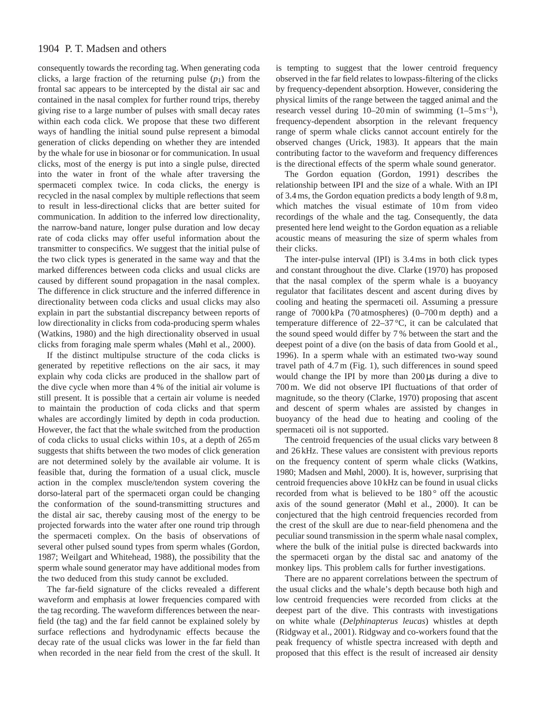# 1904 P. T. Madsen and others

consequently towards the recording tag. When generating coda clicks, a large fraction of the returning pulse  $(p_1)$  from the frontal sac appears to be intercepted by the distal air sac and contained in the nasal complex for further round trips, thereby giving rise to a large number of pulses with small decay rates within each coda click. We propose that these two different ways of handling the initial sound pulse represent a bimodal generation of clicks depending on whether they are intended by the whale for use in biosonar or for communication. In usual clicks, most of the energy is put into a single pulse, directed into the water in front of the whale after traversing the spermaceti complex twice. In coda clicks, the energy is recycled in the nasal complex by multiple reflections that seem to result in less-directional clicks that are better suited for communication. In addition to the inferred low directionality, the narrow-band nature, longer pulse duration and low decay rate of coda clicks may offer useful information about the transmitter to conspecifics. We suggest that the initial pulse of the two click types is generated in the same way and that the marked differences between coda clicks and usual clicks are caused by different sound propagation in the nasal complex. The difference in click structure and the inferred difference in directionality between coda clicks and usual clicks may also explain in part the substantial discrepancy between reports of low directionality in clicks from coda-producing sperm whales (Watkins, 1980) and the high directionality observed in usual clicks from foraging male sperm whales (Møhl et al., 2000).

If the distinct multipulse structure of the coda clicks is generated by repetitive reflections on the air sacs, it may explain why coda clicks are produced in the shallow part of the dive cycle when more than 4 % of the initial air volume is still present. It is possible that a certain air volume is needed to maintain the production of coda clicks and that sperm whales are accordingly limited by depth in coda production. However, the fact that the whale switched from the production of coda clicks to usual clicks within 10 s, at a depth of 265 m suggests that shifts between the two modes of click generation are not determined solely by the available air volume. It is feasible that, during the formation of a usual click, muscle action in the complex muscle/tendon system covering the dorso-lateral part of the spermaceti organ could be changing the conformation of the sound-transmitting structures and the distal air sac, thereby causing most of the energy to be projected forwards into the water after one round trip through the spermaceti complex. On the basis of observations of several other pulsed sound types from sperm whales (Gordon, 1987; Weilgart and Whitehead, 1988), the possibility that the sperm whale sound generator may have additional modes from the two deduced from this study cannot be excluded.

The far-field signature of the clicks revealed a different waveform and emphasis at lower frequencies compared with the tag recording. The waveform differences between the nearfield (the tag) and the far field cannot be explained solely by surface reflections and hydrodynamic effects because the decay rate of the usual clicks was lower in the far field than when recorded in the near field from the crest of the skull. It is tempting to suggest that the lower centroid frequency observed in the far field relates to lowpass-filtering of the clicks by frequency-dependent absorption. However, considering the physical limits of the range between the tagged animal and the research vessel during  $10-20$  min of swimming  $(1-5 \text{ m s}^{-1})$ , frequency-dependent absorption in the relevant frequency range of sperm whale clicks cannot account entirely for the observed changes (Urick, 1983). It appears that the main contributing factor to the waveform and frequency differences is the directional effects of the sperm whale sound generator.

The Gordon equation (Gordon, 1991) describes the relationship between IPI and the size of a whale. With an IPI of 3.4 ms, the Gordon equation predicts a body length of 9.8 m, which matches the visual estimate of 10m from video recordings of the whale and the tag. Consequently, the data presented here lend weight to the Gordon equation as a reliable acoustic means of measuring the size of sperm whales from their clicks.

The inter-pulse interval (IPI) is 3.4 ms in both click types and constant throughout the dive. Clarke (1970) has proposed that the nasal complex of the sperm whale is a buoyancy regulator that facilitates descent and ascent during dives by cooling and heating the spermaceti oil. Assuming a pressure range of 7000 kPa (70 atmospheres) (0–700 m depth) and a temperature difference of 22–37 °C, it can be calculated that the sound speed would differ by 7 % between the start and the deepest point of a dive (on the basis of data from Goold et al., 1996). In a sperm whale with an estimated two-way sound travel path of 4.7 m (Fig. 1), such differences in sound speed would change the IPI by more than 200 µs during a dive to 700 m. We did not observe IPI fluctuations of that order of magnitude, so the theory (Clarke, 1970) proposing that ascent and descent of sperm whales are assisted by changes in buoyancy of the head due to heating and cooling of the spermaceti oil is not supported.

The centroid frequencies of the usual clicks vary between 8 and 26 kHz. These values are consistent with previous reports on the frequency content of sperm whale clicks (Watkins, 1980; Madsen and Møhl, 2000). It is, however, surprising that centroid frequencies above 10 kHz can be found in usual clicks recorded from what is believed to be 180<sup>°</sup> off the acoustic axis of the sound generator (Møhl et al., 2000). It can be conjectured that the high centroid frequencies recorded from the crest of the skull are due to near-field phenomena and the peculiar sound transmission in the sperm whale nasal complex, where the bulk of the initial pulse is directed backwards into the spermaceti organ by the distal sac and anatomy of the monkey lips. This problem calls for further investigations.

There are no apparent correlations between the spectrum of the usual clicks and the whale's depth because both high and low centroid frequencies were recorded from clicks at the deepest part of the dive. This contrasts with investigations on white whale (*Delphinapterus leucas*) whistles at depth (Ridgway et al., 2001). Ridgway and co-workers found that the peak frequency of whistle spectra increased with depth and proposed that this effect is the result of increased air density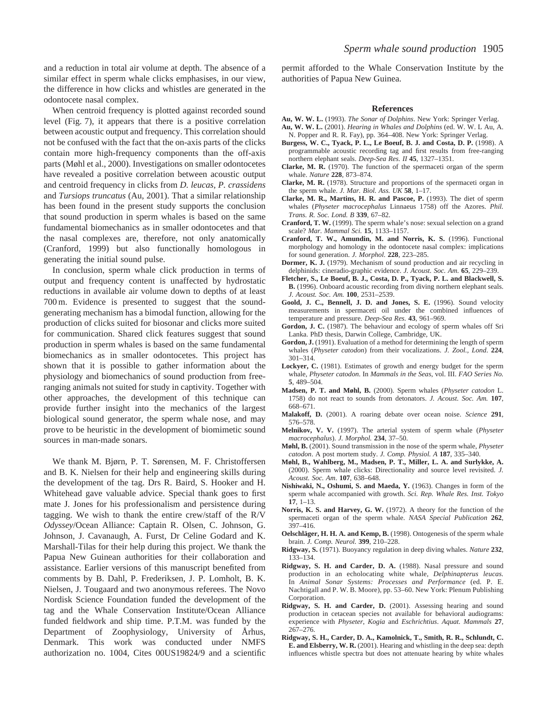and a reduction in total air volume at depth. The absence of a similar effect in sperm whale clicks emphasises, in our view, the difference in how clicks and whistles are generated in the odontocete nasal complex.

When centroid frequency is plotted against recorded sound level (Fig. 7), it appears that there is a positive correlation between acoustic output and frequency. This correlation should not be confused with the fact that the on-axis parts of the clicks contain more high-frequency components than the off-axis parts (Møhl et al., 2000). Investigations on smaller odontocetes have revealed a positive correlation between acoustic output and centroid frequency in clicks from *D. leucas*, *P. crassidens* and *Tursiops truncatus* (Au, 2001). That a similar relationship has been found in the present study supports the conclusion that sound production in sperm whales is based on the same fundamental biomechanics as in smaller odontocetes and that the nasal complexes are, therefore, not only anatomically (Cranford, 1999) but also functionally homologous in generating the initial sound pulse.

In conclusion, sperm whale click production in terms of output and frequency content is unaffected by hydrostatic reductions in available air volume down to depths of at least 700 m. Evidence is presented to suggest that the soundgenerating mechanism has a bimodal function, allowing for the production of clicks suited for biosonar and clicks more suited for communication. Shared click features suggest that sound production in sperm whales is based on the same fundamental biomechanics as in smaller odontocetes. This project has shown that it is possible to gather information about the physiology and biomechanics of sound production from freeranging animals not suited for study in captivity. Together with other approaches, the development of this technique can provide further insight into the mechanics of the largest biological sound generator, the sperm whale nose, and may prove to be heuristic in the development of biomimetic sound sources in man-made sonars.

We thank M. Bjørn, P. T. Sørensen, M. F. Christoffersen and B. K. Nielsen for their help and engineering skills during the development of the tag. Drs R. Baird, S. Hooker and H. Whitehead gave valuable advice. Special thank goes to first mate J. Jones for his professionalism and persistence during tagging. We wish to thank the entire crew/staff of the R/V *Odyssey*/Ocean Alliance: Captain R. Olsen, C. Johnson, G. Johnson, J. Cavanaugh, A. Furst, Dr Celine Godard and K. Marshall-Tilas for their help during this project. We thank the Papua New Guinean authorities for their collaboration and assistance. Earlier versions of this manuscript benefited from comments by B. Dahl, P. Frederiksen, J. P. Lomholt, B. K. Nielsen, J. Tougaard and two anonymous referees. The Novo Nordisk Science Foundation funded the development of the tag and the Whale Conservation Institute/Ocean Alliance funded fieldwork and ship time. P.T.M. was funded by the Department of Zoophysiology, University of Århus, Denmark. This work was conducted under NMFS authorization no. 1004, Cites 00US19824/9 and a scientific permit afforded to the Whale Conservation Institute by the authorities of Papua New Guinea.

#### **References**

- **Au, W. W. L.** (1993). *The Sonar of Dolphins*. New York: Springer Verlag.
- **Au, W. W. L.** (2001). *Hearing in Whales and Dolphins* (ed. W. W. L Au, A. N. Popper and R. R. Fay), pp. 364–408. New York: Springer Verlag.
- **Burgess, W. C., Tyack, P. L., Le Boeuf, B. J. and Costa, D. P.** (1998). A programmable acoustic recording tag and first results from free-ranging northern elephant seals. *Deep-Sea Res. II* **45**, 1327–1351.
- **Clarke, M. R.** (1970). The function of the spermaceti organ of the sperm whale. *Nature* **228**, 873–874.
- **Clarke, M. R.** (1978). Structure and proportions of the spermaceti organ in the sperm whale. *J. Mar. Biol. Ass. UK* **58**, 1–17.
- **Clarke, M. R., Martins, H. R. and Pascoe, P.** (1993). The diet of sperm whales (*Physeter macrocephalus* Linnaeus 1758) off the Azores. *Phil. Trans. R. Soc. Lond. B* **339**, 67–82.
- **Cranford, T. W.** (1999). The sperm whale's nose: sexual selection on a grand scale? *Mar. Mammal Sci.* **15**, 1133–1157.
- **Cranford, T. W., Amundin, M. and Norris, K. S.** (1996). Functional morphology and homology in the odontocete nasal complex: implications for sound generation. *J. Morphol.* **228**, 223–285.
- **Dormer, K. J.** (1979). Mechanism of sound production and air recycling in delphinids: cineradio-graphic evidence. *J. Acoust. Soc. Am.* **65**, 229–239.
- **Fletcher, S., Le Boeuf, B. J., Costa, D. P., Tyack, P. L. and Blackwell, S. B.** (1996). Onboard acoustic recording from diving northern elephant seals. *J. Acoust. Soc. Am.* **100**, 2531–2539.
- **Goold, J. C., Bennell, J. D. and Jones, S. E.** (1996). Sound velocity measurements in spermaceti oil under the combined influences of temperature and pressure. *Deep-Sea Res.* **43**, 961–969.
- **Gordon, J. C.** (1987). The behaviour and ecology of sperm whales off Sri Lanka. PhD thesis, Darwin College, Cambridge, UK.
- **Gordon, J.** (1991). Evaluation of a method for determining the length of sperm whales (*Physeter catodon*) from their vocalizations. *J. Zool., Lond*. **224**, 301–314.
- **Lockyer, C.** (1981). Estimates of growth and energy budget for the sperm whale, *Physeter catodon*. In *Mammals in the Seas*, vol. III. *FAO Series No.* **5**, 489–504.
- **Madsen, P. T. and Møhl, B.** (2000). Sperm whales (*Physeter catodon* L. 1758) do not react to sounds from detonators. *J. Acoust. Soc. Am.* **107**, 668–671.
- **Malakoff, D.** (2001). A roaring debate over ocean noise. *Science* **291**, 576–578.
- **Melnikov, V. V.** (1997). The arterial system of sperm whale (*Physeter macrocephalus*). *J. Morphol.* **234**, 37–50.
- **Møhl, B.** (2001). Sound transmission in the nose of the sperm whale, *Physeter catodon*. A post mortem study. *J. Comp. Physiol. A* **187**, 335–340.
- **Møhl, B., Wahlberg, M., Madsen, P. T., Miller, L. A. and Surlykke, A.** (2000). Sperm whale clicks: Directionality and source level revisited. *J. Acoust. Soc. Am*. **107**, 638–648.
- **Nishiwaki, N., Oshumi, S. and Maeda, Y.** (1963). Changes in form of the sperm whale accompanied with growth. *Sci. Rep. Whale Res. Inst. Tokyo* **17**, 1–13.
- **Norris, K. S. and Harvey, G. W.** (1972). A theory for the function of the spermaceti organ of the sperm whale. *NASA Special Publication* **262**, 397–416.
- **Oelschläger, H. H. A. and Kemp, B.** (1998). Ontogenesis of the sperm whale brain. *J. Comp. Neurol.* **399**, 210–228.
- **Ridgway, S.** (1971). Buoyancy regulation in deep diving whales. *Nature* **232**, 133–134.
- **Ridgway, S. H. and Carder, D. A.** (1988). Nasal pressure and sound production in an echolocating white whale, *Delphinapterus leucas.* In *Animal Sonar Systems: Processes and Performance* (ed. P. E. Nachtigall and P. W. B. Moore), pp. 53–60. New York: Plenum Publishing Corporation.
- **Ridgway, S. H. and Carder, D.** (2001). Assessing hearing and sound production in cetacean species not available for behavioral audiograms: experience with *Physeter*, *Kogia* and *Eschrichtius*. *Aquat. Mammals* **27**, 267–276.
- **Ridgway, S. H., Carder, D. A., Kamolnick, T., Smith, R. R., Schlundt, C. E. and Elsberry, W. R.** (2001). Hearing and whistling in the deep sea: depth influences whistle spectra but does not attenuate hearing by white whales